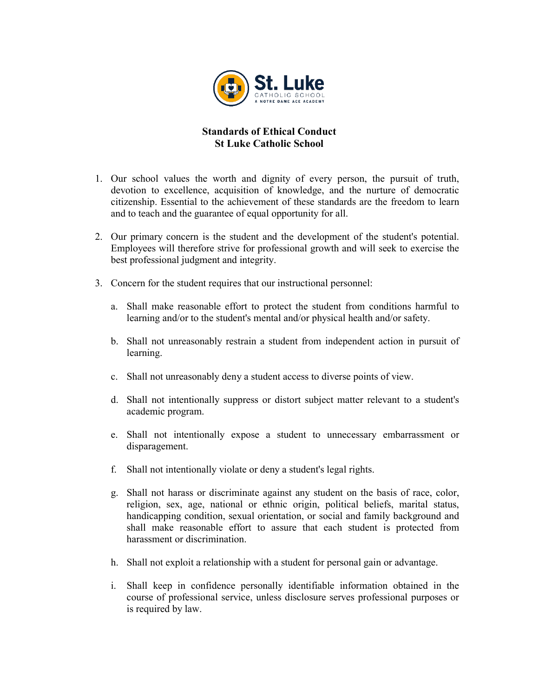

## Standards of Ethical Conduct St Luke Catholic School

- 1. Our school values the worth and dignity of every person, the pursuit of truth, devotion to excellence, acquisition of knowledge, and the nurture of democratic citizenship. Essential to the achievement of these standards are the freedom to learn and to teach and the guarantee of equal opportunity for all.
- 2. Our primary concern is the student and the development of the student's potential. Employees will therefore strive for professional growth and will seek to exercise the best professional judgment and integrity.
- 3. Concern for the student requires that our instructional personnel:
	- a. Shall make reasonable effort to protect the student from conditions harmful to learning and/or to the student's mental and/or physical health and/or safety.
	- b. Shall not unreasonably restrain a student from independent action in pursuit of learning.
	- c. Shall not unreasonably deny a student access to diverse points of view.
	- d. Shall not intentionally suppress or distort subject matter relevant to a student's academic program.
	- e. Shall not intentionally expose a student to unnecessary embarrassment or disparagement.
	- f. Shall not intentionally violate or deny a student's legal rights.
	- g. Shall not harass or discriminate against any student on the basis of race, color, religion, sex, age, national or ethnic origin, political beliefs, marital status, handicapping condition, sexual orientation, or social and family background and shall make reasonable effort to assure that each student is protected from harassment or discrimination.
	- h. Shall not exploit a relationship with a student for personal gain or advantage.
	- i. Shall keep in confidence personally identifiable information obtained in the course of professional service, unless disclosure serves professional purposes or is required by law.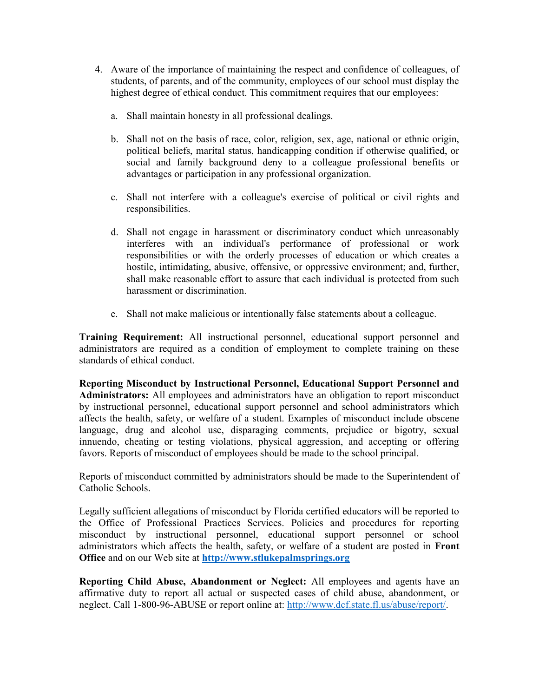- 4. Aware of the importance of maintaining the respect and confidence of colleagues, of students, of parents, and of the community, employees of our school must display the highest degree of ethical conduct. This commitment requires that our employees:
	- a. Shall maintain honesty in all professional dealings.
	- b. Shall not on the basis of race, color, religion, sex, age, national or ethnic origin, political beliefs, marital status, handicapping condition if otherwise qualified, or social and family background deny to a colleague professional benefits or advantages or participation in any professional organization.
	- c. Shall not interfere with a colleague's exercise of political or civil rights and responsibilities.
	- d. Shall not engage in harassment or discriminatory conduct which unreasonably interferes with an individual's performance of professional or work responsibilities or with the orderly processes of education or which creates a hostile, intimidating, abusive, offensive, or oppressive environment; and, further, shall make reasonable effort to assure that each individual is protected from such harassment or discrimination.
	- e. Shall not make malicious or intentionally false statements about a colleague.

Training Requirement: All instructional personnel, educational support personnel and administrators are required as a condition of employment to complete training on these standards of ethical conduct.

Reporting Misconduct by Instructional Personnel, Educational Support Personnel and Administrators: All employees and administrators have an obligation to report misconduct by instructional personnel, educational support personnel and school administrators which affects the health, safety, or welfare of a student. Examples of misconduct include obscene language, drug and alcohol use, disparaging comments, prejudice or bigotry, sexual innuendo, cheating or testing violations, physical aggression, and accepting or offering favors. Reports of misconduct of employees should be made to the school principal.

Reports of misconduct committed by administrators should be made to the Superintendent of Catholic Schools.

Legally sufficient allegations of misconduct by Florida certified educators will be reported to the Office of Professional Practices Services. Policies and procedures for reporting misconduct by instructional personnel, educational support personnel or school administrators which affects the health, safety, or welfare of a student are posted in Front Office and on our Web site at http://www.stlukepalmsprings.org

Reporting Child Abuse, Abandonment or Neglect: All employees and agents have an affirmative duty to report all actual or suspected cases of child abuse, abandonment, or neglect. Call 1-800-96-ABUSE or report online at: http://www.dcf.state.fl.us/abuse/report/.